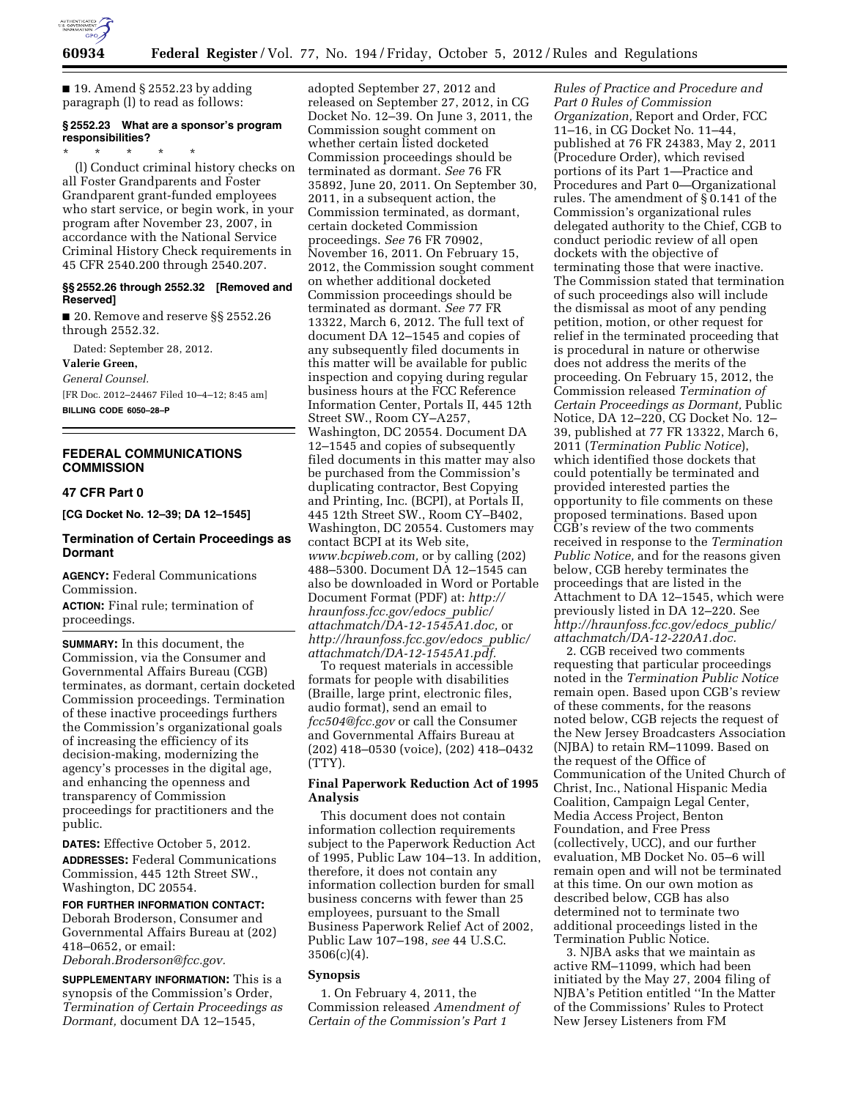

 $\blacksquare$  19. Amend § 2552.23 by adding paragraph (l) to read as follows:

# **§ 2552.23 What are a sponsor's program responsibilities?**

\* \* \* \* \* (l) Conduct criminal history checks on all Foster Grandparents and Foster Grandparent grant-funded employees who start service, or begin work, in your program after November 23, 2007, in accordance with the National Service Criminal History Check requirements in 45 CFR 2540.200 through 2540.207.

## **§§ 2552.26 through 2552.32 [Removed and Reserved]**

■ 20. Remove and reserve §§ 2552.26 through 2552.32.

Dated: September 28, 2012. **Valerie Green,** 

*General Counsel.*  [FR Doc. 2012–24467 Filed 10–4–12; 8:45 am] **BILLING CODE 6050–28–P** 

# **FEDERAL COMMUNICATIONS COMMISSION**

## **47 CFR Part 0**

**[CG Docket No. 12–39; DA 12–1545]** 

# **Termination of Certain Proceedings as Dormant**

**AGENCY:** Federal Communications Commission.

**ACTION:** Final rule; termination of proceedings.

**SUMMARY:** In this document, the Commission, via the Consumer and Governmental Affairs Bureau (CGB) terminates, as dormant, certain docketed Commission proceedings. Termination of these inactive proceedings furthers the Commission's organizational goals of increasing the efficiency of its decision-making, modernizing the agency's processes in the digital age, and enhancing the openness and transparency of Commission proceedings for practitioners and the public.

**DATES:** Effective October 5, 2012.

**ADDRESSES:** Federal Communications Commission, 445 12th Street SW., Washington, DC 20554.

**FOR FURTHER INFORMATION CONTACT:**  Deborah Broderson, Consumer and Governmental Affairs Bureau at (202) 418–0652, or email: *[Deborah.Broderson@fcc.gov.](mailto:Deborah.Broderson@fcc.gov)* 

**SUPPLEMENTARY INFORMATION:** This is a synopsis of the Commission's Order, *Termination of Certain Proceedings as Dormant,* document DA 12–1545,

adopted September 27, 2012 and released on September 27, 2012, in CG Docket No. 12–39. On June 3, 2011, the Commission sought comment on whether certain listed docketed Commission proceedings should be terminated as dormant. *See* 76 FR 35892, June 20, 2011. On September 30, 2011, in a subsequent action, the Commission terminated, as dormant, certain docketed Commission proceedings. *See* 76 FR 70902, November 16, 2011. On February 15, 2012, the Commission sought comment on whether additional docketed Commission proceedings should be terminated as dormant. *See* 77 FR 13322, March 6, 2012. The full text of document DA 12–1545 and copies of any subsequently filed documents in this matter will be available for public inspection and copying during regular business hours at the FCC Reference Information Center, Portals II, 445 12th Street SW., Room CY–A257, Washington, DC 20554. Document DA 12–1545 and copies of subsequently filed documents in this matter may also be purchased from the Commission's duplicating contractor, Best Copying and Printing, Inc. (BCPI), at Portals II, 445 12th Street SW., Room CY–B402, Washington, DC 20554. Customers may contact BCPI at its Web site, *[www.bcpiweb.com,](http://www.bcpiweb.com)* or by calling (202) 488–5300. Document DA 12–1545 can also be downloaded in Word or Portable Document Format (PDF) at: *[http://](http://hraunfoss.fcc.gov/edocs_public/attachmatch/DA-12-1545A1.doc)  [hraunfoss.fcc.gov/edocs](http://hraunfoss.fcc.gov/edocs_public/attachmatch/DA-12-1545A1.doc)*\_*public/ [attachmatch/DA-12-1545A1.doc,](http://hraunfoss.fcc.gov/edocs_public/attachmatch/DA-12-1545A1.doc)* or *[http://hraunfoss.fcc.gov/edocs](http://hraunfoss.fcc.gov/edocs_public/attachmatch/DA-12-1545A1.pdf)*\_*public/ [attachmatch/DA-12-1545A1.pdf.](http://hraunfoss.fcc.gov/edocs_public/attachmatch/DA-12-1545A1.pdf)* 

To request materials in accessible formats for people with disabilities (Braille, large print, electronic files, audio format), send an email to *[fcc504@fcc.gov](mailto:fcc504@fcc.gov)* or call the Consumer and Governmental Affairs Bureau at (202) 418–0530 (voice), (202) 418–0432 (TTY).

## **Final Paperwork Reduction Act of 1995 Analysis**

This document does not contain information collection requirements subject to the Paperwork Reduction Act of 1995, Public Law 104–13. In addition, therefore, it does not contain any information collection burden for small business concerns with fewer than 25 employees, pursuant to the Small Business Paperwork Relief Act of 2002, Public Law 107–198, *see* 44 U.S.C.  $3506(c)(4)$ .

# **Synopsis**

1. On February 4, 2011, the Commission released *Amendment of Certain of the Commission's Part 1* 

*Rules of Practice and Procedure and Part 0 Rules of Commission Organization,* Report and Order, FCC 11–16, in CG Docket No. 11–44, published at 76 FR 24383, May 2, 2011 (Procedure Order), which revised portions of its Part 1—Practice and Procedures and Part 0—Organizational rules. The amendment of § 0.141 of the Commission's organizational rules delegated authority to the Chief, CGB to conduct periodic review of all open dockets with the objective of terminating those that were inactive. The Commission stated that termination of such proceedings also will include the dismissal as moot of any pending petition, motion, or other request for relief in the terminated proceeding that is procedural in nature or otherwise does not address the merits of the proceeding. On February 15, 2012, the Commission released *Termination of Certain Proceedings as Dormant,* Public Notice, DA 12–220, CG Docket No. 12– 39, published at 77 FR 13322, March 6, 2011 (*Termination Public Notice*), which identified those dockets that could potentially be terminated and provided interested parties the opportunity to file comments on these proposed terminations. Based upon CGB's review of the two comments received in response to the *Termination Public Notice,* and for the reasons given below, CGB hereby terminates the proceedings that are listed in the Attachment to DA 12–1545, which were previously listed in DA 12–220. See *[http://hraunfoss.fcc.gov/edocs](http://hraunfoss.fcc.gov/edocs_public/attachmatch/DA-12-220A1.doc)*\_*public/ [attachmatch/DA-12-220A1.doc.](http://hraunfoss.fcc.gov/edocs_public/attachmatch/DA-12-220A1.doc)* 

2. CGB received two comments requesting that particular proceedings noted in the *Termination Public Notice*  remain open. Based upon CGB's review of these comments, for the reasons noted below, CGB rejects the request of the New Jersey Broadcasters Association (NJBA) to retain RM–11099. Based on the request of the Office of Communication of the United Church of Christ, Inc., National Hispanic Media Coalition, Campaign Legal Center, Media Access Project, Benton Foundation, and Free Press (collectively, UCC), and our further evaluation, MB Docket No. 05–6 will remain open and will not be terminated at this time. On our own motion as described below, CGB has also determined not to terminate two additional proceedings listed in the Termination Public Notice.

3. NJBA asks that we maintain as active RM–11099, which had been initiated by the May 27, 2004 filing of NJBA's Petition entitled ''In the Matter of the Commissions' Rules to Protect New Jersey Listeners from FM